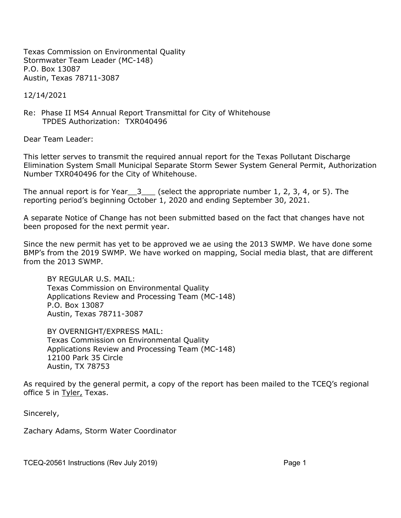Texas Commission on Environmental Quality Stormwater Team Leader (MC-148) P.O. Box 13087 Austin, Texas 78711-3087

12/14/2021

Re: Phase II MS4 Annual Report Transmittal for City of Whitehouse TPDES Authorization: TXR040496

Dear Team Leader:

This letter serves to transmit the required annual report for the Texas Pollutant Discharge Elimination System Small Municipal Separate Storm Sewer System General Permit, Authorization Number TXR040496 for the City of Whitehouse.

The annual report is for Year  $3$  (select the appropriate number 1, 2, 3, 4, or 5). The reporting period's beginning October 1, 2020 and ending September 30, 2021.

A separate Notice of Change has not been submitted based on the fact that changes have not been proposed for the next permit year.

Since the new permit has yet to be approved we ae using the 2013 SWMP. We have done some BMP's from the 2019 SWMP. We have worked on mapping, Social media blast, that are different from the 2013 SWMP.

BY REGULAR U.S. MAIL: Texas Commission on Environmental Quality Applications Review and Processing Team (MC-148) P.O. Box 13087 Austin, Texas 78711-3087

BY OVERNIGHT/EXPRESS MAIL: Texas Commission on Environmental Quality Applications Review and Processing Team (MC-148) 12100 Park 35 Circle Austin, TX 78753

As required by the general permit, a copy of the report has been mailed to the TCEQ's regional office 5 in Tyler, Texas.

Sincerely,

Zachary Adams, Storm Water Coordinator

TCEQ-20561 Instructions (Rev July 2019) Page 1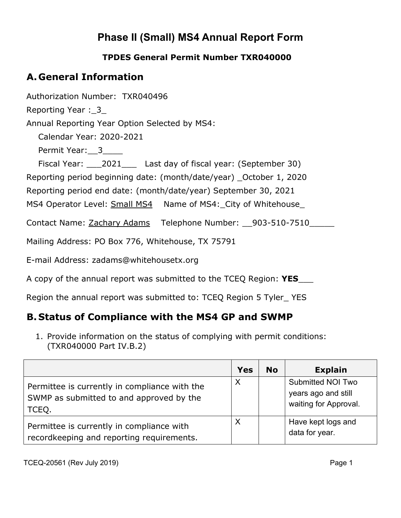# **Phase II (Small) MS4 Annual Report Form**

#### **TPDES General Permit Number TXR040000**

## **A. General Information**

Authorization Number: TXR040496

Reporting Year: 3

Annual Reporting Year Option Selected by MS4:

Calendar Year: 2020-2021

Permit Year: 3

Fiscal Year: 2021 Last day of fiscal year: (September 30)

Reporting period beginning date: (month/date/year) \_October 1, 2020

Reporting period end date: (month/date/year) September 30, 2021

MS4 Operator Level: Small MS4 Name of MS4: City of Whitehouse

Contact Name: Zachary Adams Telephone Number: 903-510-7510

Mailing Address: PO Box 776, Whitehouse, TX 75791

E-mail Address: zadams@whitehousetx.org

A copy of the annual report was submitted to the TCEQ Region: **YES**\_\_\_

Region the annual report was submitted to: TCEQ Region 5 Tyler\_ YES

## **B. Status of Compliance with the MS4 GP and SWMP**

1. Provide information on the status of complying with permit conditions: (TXR040000 Part IV.B.2)

|                                                                                                    | <b>Yes</b> | <b>No</b> | <b>Explain</b>                                                           |
|----------------------------------------------------------------------------------------------------|------------|-----------|--------------------------------------------------------------------------|
| Permittee is currently in compliance with the<br>SWMP as submitted to and approved by the<br>TCEQ. | Χ          |           | <b>Submitted NOI Two</b><br>years ago and still<br>waiting for Approval. |
| Permittee is currently in compliance with<br>recordkeeping and reporting requirements.             | X          |           | Have kept logs and<br>data for year.                                     |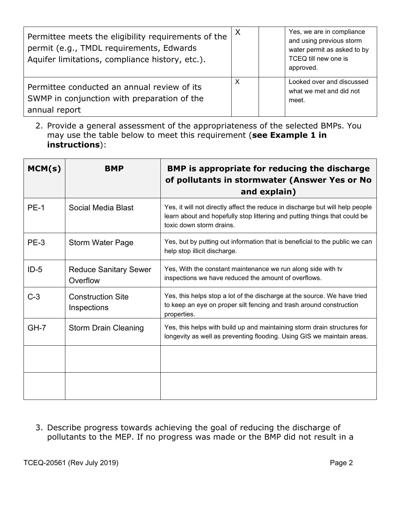| Permittee meets the eligibility requirements of the<br>permit (e.g., TMDL requirements, Edwards<br>Aquifer limitations, compliance history, etc.). | $\times$ | Yes, we are in compliance<br>and using previous storm<br>water permit as asked to by<br>TCEQ till new one is<br>approved. |
|----------------------------------------------------------------------------------------------------------------------------------------------------|----------|---------------------------------------------------------------------------------------------------------------------------|
| Permittee conducted an annual review of its<br>SWMP in conjunction with preparation of the<br>annual report                                        | х        | Looked over and discussed<br>what we met and did not<br>meet.                                                             |

2. Provide a general assessment of the appropriateness of the selected BMPs. You may use the table below to meet this requirement (**see Example 1 in instructions**):

| MCM(s)      | <b>BMP</b>                               | BMP is appropriate for reducing the discharge<br>of pollutants in stormwater (Answer Yes or No<br>and explain)                                                                         |
|-------------|------------------------------------------|----------------------------------------------------------------------------------------------------------------------------------------------------------------------------------------|
| <b>PE-1</b> | Social Media Blast                       | Yes, it will not directly affect the reduce in discharge but will help people<br>learn about and hopefully stop littering and putting things that could be<br>toxic down storm drains. |
| PE-3        | <b>Storm Water Page</b>                  | Yes, but by putting out information that is beneficial to the public we can<br>help stop illicit discharge.                                                                            |
| $ID-5$      | <b>Reduce Sanitary Sewer</b><br>Overflow | Yes, With the constant maintenance we run along side with tv<br>inspections we have reduced the amount of overflows.                                                                   |
| $C-3$       | <b>Construction Site</b><br>Inspections  | Yes, this helps stop a lot of the discharge at the source. We have tried<br>to keep an eye on proper silt fencing and trash around construction<br>properties.                         |
| $GH-7$      | <b>Storm Drain Cleaning</b>              | Yes, this helps with build up and maintaining storm drain structures for<br>longevity as well as preventing flooding. Using GIS we maintain areas.                                     |
|             |                                          |                                                                                                                                                                                        |
|             |                                          |                                                                                                                                                                                        |

3. Describe progress towards achieving the goal of reducing the discharge of pollutants to the MEP. If no progress was made or the BMP did not result in a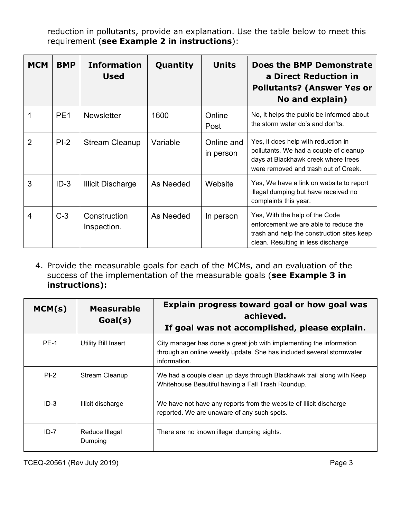reduction in pollutants, provide an explanation. Use the table below to meet this requirement (**see Example 2 in instructions**):

| <b>MCM</b>     | <b>BMP</b>      | <b>Information</b><br><b>Used</b> | Quantity  | <b>Units</b>            | Does the BMP Demonstrate<br>a Direct Reduction in<br><b>Pollutants? (Answer Yes or</b><br>No and explain)                                                    |
|----------------|-----------------|-----------------------------------|-----------|-------------------------|--------------------------------------------------------------------------------------------------------------------------------------------------------------|
| 1              | PE <sub>1</sub> | <b>Newsletter</b>                 | 1600      | Online<br>Post          | No, It helps the public be informed about<br>the storm water do's and don'ts.                                                                                |
| $\overline{2}$ | $PI-2$          | <b>Stream Cleanup</b>             | Variable  | Online and<br>in person | Yes, it does help with reduction in<br>pollutants. We had a couple of cleanup<br>days at Blackhawk creek where trees<br>were removed and trash out of Creek. |
| 3              | $ID-3$          | <b>Illicit Discharge</b>          | As Needed | Website                 | Yes, We have a link on website to report<br>illegal dumping but have received no<br>complaints this year.                                                    |
| 4              | $C-3$           | Construction<br>Inspection.       | As Needed | In person               | Yes, With the help of the Code<br>enforcement we are able to reduce the<br>trash and help the construction sites keep<br>clean. Resulting in less discharge  |

4. Provide the measurable goals for each of the MCMs, and an evaluation of the success of the implementation of the measurable goals (**see Example 3 in instructions):**

| MCM(s)      | <b>Measurable</b><br>Goal(s) | Explain progress toward goal or how goal was<br>achieved.<br>If goal was not accomplished, please explain.                                                  |
|-------------|------------------------------|-------------------------------------------------------------------------------------------------------------------------------------------------------------|
| <b>PE-1</b> | <b>Utility Bill Insert</b>   | City manager has done a great job with implementing the information<br>through an online weekly update. She has included several stormwater<br>information. |
| $PI-2$      | <b>Stream Cleanup</b>        | We had a couple clean up days through Blackhawk trail along with Keep<br>Whitehouse Beautiful having a Fall Trash Roundup.                                  |
| $ID-3$      | Illicit discharge            | We have not have any reports from the website of Illicit discharge<br>reported. We are unaware of any such spots.                                           |
| $ID-7$      | Reduce Illegal<br>Dumping    | There are no known illegal dumping sights.                                                                                                                  |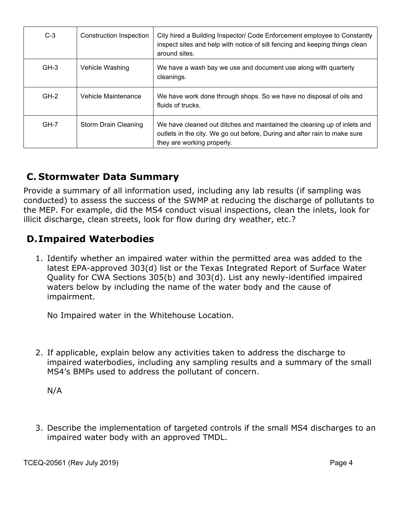| $C-3$  | Construction Inspection | City hired a Building Inspector/ Code Enforcement employee to Constantly<br>inspect sites and help with notice of silt fencing and keeping things clean<br>around sites.            |
|--------|-------------------------|-------------------------------------------------------------------------------------------------------------------------------------------------------------------------------------|
| $GH-3$ | Vehicle Washing         | We have a wash bay we use and document use along with quarterly<br>cleanings.                                                                                                       |
| $GH-2$ | Vehicle Maintenance     | We have work done through shops. So we have no disposal of oils and<br>fluids of trucks.                                                                                            |
| $GH-7$ | Storm Drain Cleaning    | We have cleaned out ditches and maintained the cleaning up of inlets and<br>outlets in the city. We go out before, During and after rain to make sure<br>they are working properly. |

## **C. Stormwater Data Summary**

Provide a summary of all information used, including any lab results (if sampling was conducted) to assess the success of the SWMP at reducing the discharge of pollutants to the MEP. For example, did the MS4 conduct visual inspections, clean the inlets, look for illicit discharge, clean streets, look for flow during dry weather, etc.?

#### **D.Impaired Waterbodies**

1. Identify whether an impaired water within the permitted area was added to the latest EPA-approved 303(d) list or the Texas Integrated Report of Surface Water Quality for CWA Sections 305(b) and 303(d). List any newly-identified impaired waters below by including the name of the water body and the cause of impairment.

No Impaired water in the Whitehouse Location.

2. If applicable, explain below any activities taken to address the discharge to impaired waterbodies, including any sampling results and a summary of the small MS4's BMPs used to address the pollutant of concern.

3. Describe the implementation of targeted controls if the small MS4 discharges to an impaired water body with an approved TMDL.

N/A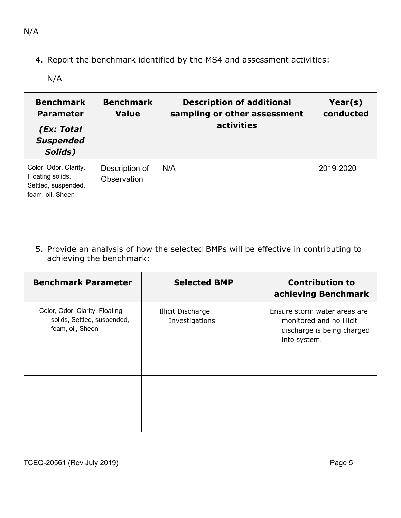4. Report the benchmark identified by the MS4 and assessment activities:

N/A

| <b>Benchmark</b><br><b>Parameter</b><br>(Ex: Total<br><b>Suspended</b><br>Solids)    | <b>Benchmark</b><br><b>Value</b> | <b>Description of additional</b><br>sampling or other assessment<br>activities | Year(s)<br>conducted |
|--------------------------------------------------------------------------------------|----------------------------------|--------------------------------------------------------------------------------|----------------------|
| Color, Odor, Clarity,<br>Floating solids,<br>Settled, suspended,<br>foam, oil, Sheen | Description of<br>Observation    | N/A                                                                            | 2019-2020            |
|                                                                                      |                                  |                                                                                |                      |

5. Provide an analysis of how the selected BMPs will be effective in contributing to achieving the benchmark:

| <b>Benchmark Parameter</b>                                                        | <b>Selected BMP</b>                        | <b>Contribution to</b><br>achieving Benchmark                                                          |
|-----------------------------------------------------------------------------------|--------------------------------------------|--------------------------------------------------------------------------------------------------------|
| Color, Odor, Clarity, Floating<br>solids, Settled, suspended,<br>foam, oil, Sheen | <b>Illicit Discharge</b><br>Investigations | Ensure storm water areas are<br>monitored and no illicit<br>discharge is being charged<br>into system. |
|                                                                                   |                                            |                                                                                                        |
|                                                                                   |                                            |                                                                                                        |
|                                                                                   |                                            |                                                                                                        |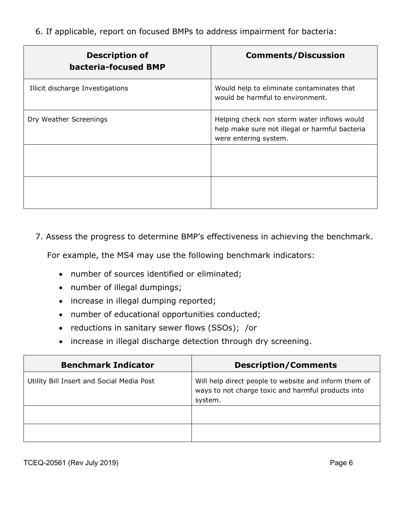6. If applicable, report on focused BMPs to address impairment for bacteria:

| <b>Description of</b><br>bacteria-focused BMP | <b>Comments/Discussion</b>                                                                                             |
|-----------------------------------------------|------------------------------------------------------------------------------------------------------------------------|
| Illicit discharge Investigations              | Would help to eliminate contaminates that<br>would be harmful to environment.                                          |
| Dry Weather Screenings                        | Helping check non storm water inflows would<br>help make sure not illegal or harmful bacteria<br>were entering system. |
|                                               |                                                                                                                        |
|                                               |                                                                                                                        |

7. Assess the progress to determine BMP's effectiveness in achieving the benchmark.

For example, the MS4 may use the following benchmark indicators:

- number of sources identified or eliminated;
- number of illegal dumpings;
- increase in illegal dumping reported;
- number of educational opportunities conducted;
- reductions in sanitary sewer flows (SSOs); /or
- increase in illegal discharge detection through dry screening.

| <b>Benchmark Indicator</b>                | <b>Description/Comments</b>                                                                                            |
|-------------------------------------------|------------------------------------------------------------------------------------------------------------------------|
| Utility Bill Insert and Social Media Post | Will help direct people to website and inform them of<br>ways to not charge toxic and harmful products into<br>system. |
|                                           |                                                                                                                        |
|                                           |                                                                                                                        |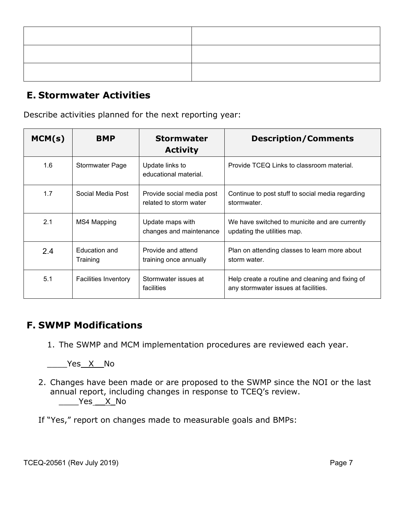### **E. Stormwater Activities**

Describe activities planned for the next reporting year:

| MCM(s) | <b>BMP</b>                  | <b>Stormwater</b><br><b>Activity</b>                | <b>Description/Comments</b>                                                              |
|--------|-----------------------------|-----------------------------------------------------|------------------------------------------------------------------------------------------|
| 1.6    | <b>Stormwater Page</b>      | Update links to<br>educational material.            | Provide TCEQ Links to classroom material.                                                |
| 1.7    | Social Media Post           | Provide social media post<br>related to storm water | Continue to post stuff to social media regarding<br>stormwater.                          |
| 2.1    | <b>MS4 Mapping</b>          | Update maps with<br>changes and maintenance         | We have switched to municite and are currently<br>updating the utilities map.            |
| 2.4    | Education and<br>Training   | Provide and attend<br>training once annually        | Plan on attending classes to learn more about<br>storm water.                            |
| 5.1    | <b>Facilities Inventory</b> | Stormwater issues at<br>facilities                  | Help create a routine and cleaning and fixing of<br>any stormwater issues at facilities. |

#### **F. SWMP Modifications**

1. The SWMP and MCM implementation procedures are reviewed each year.

Yes X No

2. Changes have been made or are proposed to the SWMP since the NOI or the last annual report, including changes in response to TCEQ's review. \_\_\_\_Yes \_\_X\_No

If "Yes," report on changes made to measurable goals and BMPs: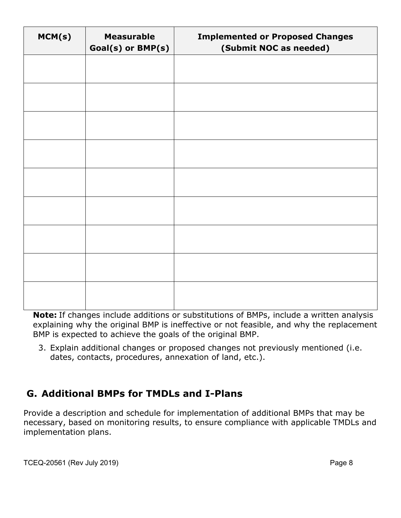| MCM(s) | <b>Measurable</b><br>Goal(s) or BMP(s) | <b>Implemented or Proposed Changes</b><br>(Submit NOC as needed) |
|--------|----------------------------------------|------------------------------------------------------------------|
|        |                                        |                                                                  |
|        |                                        |                                                                  |
|        |                                        |                                                                  |
|        |                                        |                                                                  |
|        |                                        |                                                                  |
|        |                                        |                                                                  |
|        |                                        |                                                                  |
|        |                                        |                                                                  |
|        |                                        |                                                                  |

**Note:** If changes include additions or substitutions of BMPs, include a written analysis explaining why the original BMP is ineffective or not feasible, and why the replacement BMP is expected to achieve the goals of the original BMP.

3. Explain additional changes or proposed changes not previously mentioned (i.e. dates, contacts, procedures, annexation of land, etc.).

## **G. Additional BMPs for TMDLs and I-Plans**

Provide a description and schedule for implementation of additional BMPs that may be necessary, based on monitoring results, to ensure compliance with applicable TMDLs and implementation plans.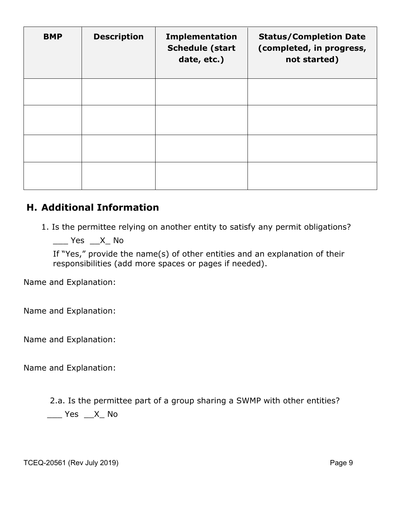| <b>BMP</b> | <b>Description</b> | <b>Implementation</b><br><b>Schedule (start</b><br>date, etc.) | <b>Status/Completion Date</b><br>(completed, in progress,<br>not started) |
|------------|--------------------|----------------------------------------------------------------|---------------------------------------------------------------------------|
|            |                    |                                                                |                                                                           |
|            |                    |                                                                |                                                                           |
|            |                    |                                                                |                                                                           |
|            |                    |                                                                |                                                                           |

#### **H. Additional Information**

1. Is the permittee relying on another entity to satisfy any permit obligations?

 $\frac{1}{2}$  Yes  $\frac{1}{2}$  X No

If "Yes," provide the name(s) of other entities and an explanation of their responsibilities (add more spaces or pages if needed).

Name and Explanation:

Name and Explanation:

Name and Explanation:

Name and Explanation:

2.a. Is the permittee part of a group sharing a SWMP with other entities?

 $\frac{1}{2}$  Yes  $\frac{1}{2}$  X\_ No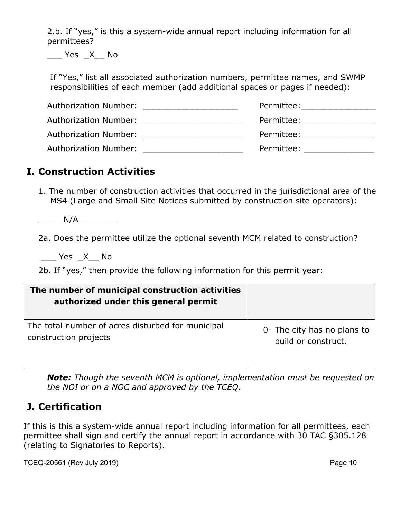2.b. If "yes," is this a system-wide annual report including information for all permittees?

 $Yes$   $X$  No

If "Yes," list all associated authorization numbers, permittee names, and SWMP responsibilities of each member (add additional spaces or pages if needed):

| Authorization Number: Authorization of the state of the state of the state of the state of the state of the state of the state of the state of the state of the state of the state of the state of the state of the state of t | Permittee:                                                                                                                                                                                                                     |
|--------------------------------------------------------------------------------------------------------------------------------------------------------------------------------------------------------------------------------|--------------------------------------------------------------------------------------------------------------------------------------------------------------------------------------------------------------------------------|
| Authorization Number: Authorization Number:                                                                                                                                                                                    | Permittee:<br>the contract of the contract of the contract of                                                                                                                                                                  |
| Authorization Number: Authorization Number:                                                                                                                                                                                    | Permittee: when the control of the control of the control of the control of the control of the control of the control of the control of the control of the control of the control of the control of the control of the control |
| <b>Authorization Number:</b>                                                                                                                                                                                                   | Permittee:                                                                                                                                                                                                                     |

#### **I. Construction Activities**

1. The number of construction activities that occurred in the jurisdictional area of the MS4 (Large and Small Site Notices submitted by construction site operators):

 $N/A$ 

2a. Does the permittee utilize the optional seventh MCM related to construction?

\_\_\_ Yes \_X\_\_ No

2b. If "yes," then provide the following information for this permit year:

| The number of municipal construction activities<br>authorized under this general permit |                             |
|-----------------------------------------------------------------------------------------|-----------------------------|
| The total number of acres disturbed for municipal                                       | 0- The city has no plans to |
| construction projects                                                                   | build or construct.         |

*Note: Though the seventh MCM is optional, implementation must be requested on the NOI or on a NOC and approved by the TCEQ.*

### **J. Certification**

If this is this a system-wide annual report including information for all permittees, each permittee shall sign and certify the annual report in accordance with 30 TAC §305.128 (relating to Signatories to Reports).

TCEQ-20561 (Rev July 2019) TCEQ-20561 (Rev July 2019)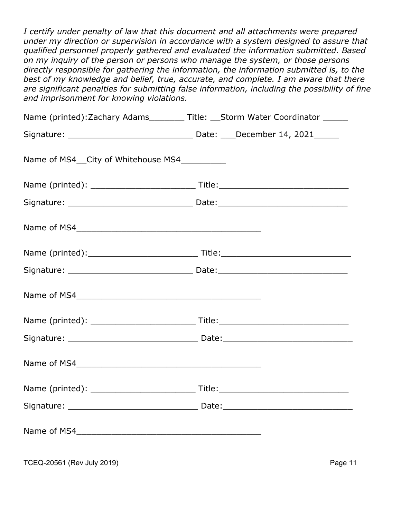*I certify under penalty of law that this document and all attachments were prepared under my direction or supervision in accordance with a system designed to assure that qualified personnel properly gathered and evaluated the information submitted. Based on my inquiry of the person or persons who manage the system, or those persons directly responsible for gathering the information, the information submitted is, to the*  best of my knowledge and belief, true, accurate, and complete. I am aware that there *are significant penalties for submitting false information, including the possibility of fine and imprisonment for knowing violations.*

| Name (printed): Zachary Adams________ Title: __Storm Water Coordinator ______ |  |
|-------------------------------------------------------------------------------|--|
|                                                                               |  |
| Name of MS4__City of Whitehouse MS4__________                                 |  |
|                                                                               |  |
|                                                                               |  |
|                                                                               |  |
|                                                                               |  |
|                                                                               |  |
|                                                                               |  |
|                                                                               |  |
|                                                                               |  |
| Name of MS4                                                                   |  |
|                                                                               |  |
|                                                                               |  |
|                                                                               |  |
|                                                                               |  |